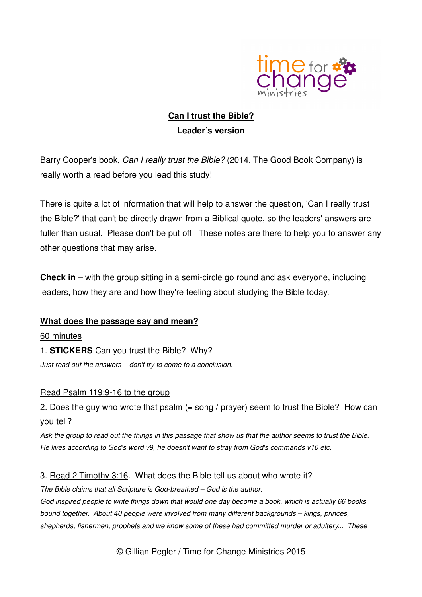

# **Can I trust the Bible? Leader's version**

Barry Cooper's book, Can I really trust the Bible? (2014, The Good Book Company) is really worth a read before you lead this study!

There is quite a lot of information that will help to answer the question, 'Can I really trust the Bible?' that can't be directly drawn from a Biblical quote, so the leaders' answers are fuller than usual. Please don't be put off! These notes are there to help you to answer any other questions that may arise.

**Check in** – with the group sitting in a semi-circle go round and ask everyone, including leaders, how they are and how they're feeling about studying the Bible today.

### **What does the passage say and mean?**

60 minutes 1. **STICKERS** Can you trust the Bible? Why? Just read out the answers – don't try to come to a conclusion.

### Read Psalm 119:9-16 to the group

2. Does the guy who wrote that psalm (= song / prayer) seem to trust the Bible? How can you tell?

Ask the group to read out the things in this passage that show us that the author seems to trust the Bible. He lives according to God's word v9, he doesn't want to stray from God's commands v10 etc.

### 3. Read 2 Timothy 3:16. What does the Bible tell us about who wrote it?

The Bible claims that all Scripture is God-breathed – God is the author. God inspired people to write things down that would one day become a book, which is actually 66 books bound together. About 40 people were involved from many different backgrounds – kings, princes, shepherds, fishermen, prophets and we know some of these had committed murder or adultery... These

© Gillian Pegler / Time for Change Ministries 2015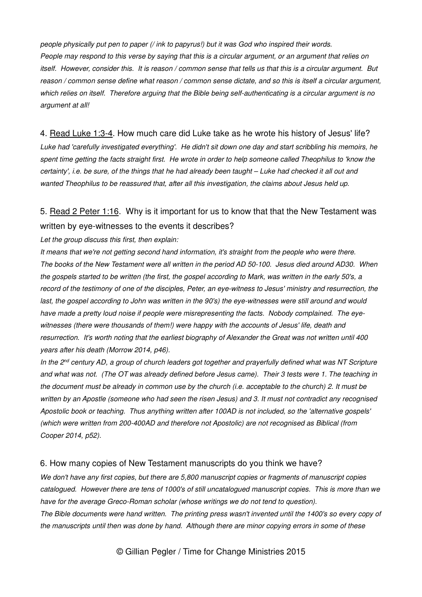people physically put pen to paper (/ ink to papyrus!) but it was God who inspired their words. People may respond to this verse by saying that this is a circular argument, or an argument that relies on itself. However, consider this. It is reason / common sense that tells us that this is a circular argument. But reason / common sense define what reason / common sense dictate, and so this is itself a circular argument, which relies on itself. Therefore arguing that the Bible being self-authenticating is a circular argument is no argument at all!

#### 4. Read Luke 1:3-4. How much care did Luke take as he wrote his history of Jesus' life?

Luke had 'carefully investigated everything'. He didn't sit down one day and start scribbling his memoirs, he spent time getting the facts straight first. He wrote in order to help someone called Theophilus to 'know the certainty', i.e. be sure, of the things that he had already been taught – Luke had checked it all out and wanted Theophilus to be reassured that, after all this investigation, the claims about Jesus held up.

## 5. Read 2 Peter 1:16. Why is it important for us to know that that the New Testament was written by eye-witnesses to the events it describes?

#### Let the group discuss this first, then explain:

It means that we're not getting second hand information, it's straight from the people who were there. The books of the New Testament were all written in the period AD 50-100. Jesus died around AD30. When the gospels started to be written (the first, the gospel according to Mark, was written in the early 50's, a record of the testimony of one of the disciples, Peter, an eye-witness to Jesus' ministry and resurrection, the last, the gospel according to John was written in the 90's) the eye-witnesses were still around and would have made a pretty loud noise if people were misrepresenting the facts. Nobody complained. The eyewitnesses (there were thousands of them!) were happy with the accounts of Jesus' life, death and resurrection. It's worth noting that the earliest biography of Alexander the Great was not written until 400 years after his death (Morrow 2014, p46).

In the 2<sup>nd</sup> century AD, a group of church leaders got together and prayerfully defined what was NT Scripture and what was not. (The OT was already defined before Jesus came). Their 3 tests were 1. The teaching in the document must be already in common use by the church (i.e. acceptable to the church) 2. It must be written by an Apostle (someone who had seen the risen Jesus) and 3. It must not contradict any recognised Apostolic book or teaching. Thus anything written after 100AD is not included, so the 'alternative gospels' (which were written from 200-400AD and therefore not Apostolic) are not recognised as Biblical (from Cooper 2014, p52).

#### 6. How many copies of New Testament manuscripts do you think we have?

We don't have any first copies, but there are 5,800 manuscript copies or fragments of manuscript copies catalogued. However there are tens of 1000's of still uncatalogued manuscript copies. This is more than we have for the average Greco-Roman scholar (whose writings we do not tend to question). The Bible documents were hand written. The printing press wasn't invented until the 1400's so every copy of the manuscripts until then was done by hand. Although there are minor copying errors in some of these

© Gillian Pegler / Time for Change Ministries 2015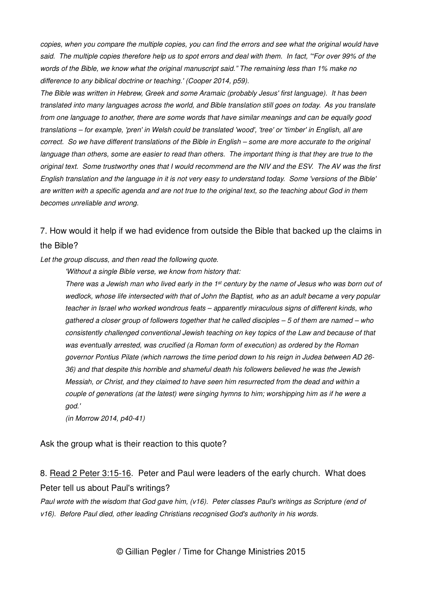copies, when you compare the multiple copies, you can find the errors and see what the original would have said. The multiple copies therefore help us to spot errors and deal with them. In fact, '"For over 99% of the words of the Bible, we know what the original manuscript said." The remaining less than 1% make no difference to any biblical doctrine or teaching.' (Cooper 2014, p59).

The Bible was written in Hebrew, Greek and some Aramaic (probably Jesus' first language). It has been translated into many languages across the world, and Bible translation still goes on today. As you translate from one language to another, there are some words that have similar meanings and can be equally good translations – for example, 'pren' in Welsh could be translated 'wood', 'tree' or 'timber' in English, all are correct. So we have different translations of the Bible in English – some are more accurate to the original language than others, some are easier to read than others. The important thing is that they are true to the original text. Some trustworthy ones that I would recommend are the NIV and the ESV. The AV was the first English translation and the language in it is not very easy to understand today. Some 'versions of the Bible' are written with a specific agenda and are not true to the original text, so the teaching about God in them becomes unreliable and wrong.

## 7. How would it help if we had evidence from outside the Bible that backed up the claims in the Bible?

Let the group discuss, and then read the following quote.

'Without a single Bible verse, we know from history that:

There was a Jewish man who lived early in the  $1st$  century by the name of Jesus who was born out of wedlock, whose life intersected with that of John the Baptist, who as an adult became a very popular teacher in Israel who worked wondrous feats – apparently miraculous signs of different kinds, who gathered a closer group of followers together that he called disciples – 5 of them are named – who consistently challenged conventional Jewish teaching on key topics of the Law and because of that was eventually arrested, was crucified (a Roman form of execution) as ordered by the Roman governor Pontius Pilate (which narrows the time period down to his reign in Judea between AD 26- 36) and that despite this horrible and shameful death his followers believed he was the Jewish Messiah, or Christ, and they claimed to have seen him resurrected from the dead and within a couple of generations (at the latest) were singing hymns to him; worshipping him as if he were a god.'

(in Morrow 2014, p40-41)

Ask the group what is their reaction to this quote?

## 8. Read 2 Peter 3:15-16. Peter and Paul were leaders of the early church. What does Peter tell us about Paul's writings?

Paul wrote with the wisdom that God gave him, (v16). Peter classes Paul's writings as Scripture (end of v16). Before Paul died, other leading Christians recognised God's authority in his words.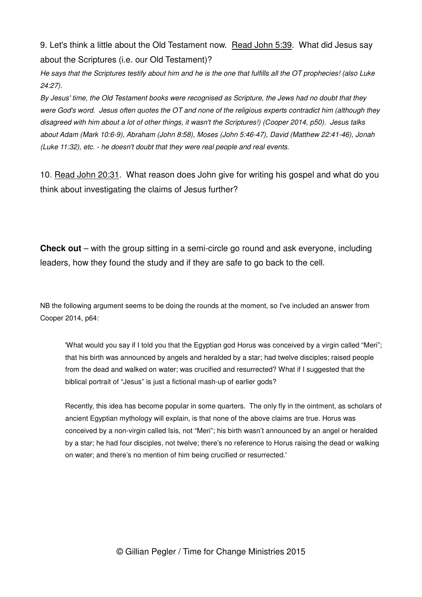9. Let's think a little about the Old Testament now. Read John 5:39. What did Jesus say about the Scriptures (i.e. our Old Testament)?

He says that the Scriptures testify about him and he is the one that fulfills all the OT prophecies! (also Luke 24:27).

By Jesus' time, the Old Testament books were recognised as Scripture, the Jews had no doubt that they were God's word. Jesus often quotes the OT and none of the religious experts contradict him (although they disagreed with him about a lot of other things, it wasn't the Scriptures!) (Cooper 2014, p50). Jesus talks about Adam (Mark 10:6-9), Abraham (John 8:58), Moses (John 5:46-47), David (Matthew 22:41-46), Jonah (Luke 11:32), etc. - he doesn't doubt that they were real people and real events.

10. Read John 20:31. What reason does John give for writing his gospel and what do you think about investigating the claims of Jesus further?

**Check out** – with the group sitting in a semi-circle go round and ask everyone, including leaders, how they found the study and if they are safe to go back to the cell.

NB the following argument seems to be doing the rounds at the moment, so I've included an answer from Cooper 2014, p64:

'What would you say if I told you that the Egyptian god Horus was conceived by a virgin called "Meri"; that his birth was announced by angels and heralded by a star; had twelve disciples; raised people from the dead and walked on water; was crucified and resurrected? What if I suggested that the biblical portrait of "Jesus" is just a fictional mash-up of earlier gods?

Recently, this idea has become popular in some quarters. The only fly in the ointment, as scholars of ancient Egyptian mythology will explain, is that none of the above claims are true. Horus was conceived by a non-virgin called Isis, not "Meri"; his birth wasn't announced by an angel or heralded by a star; he had four disciples, not twelve; there's no reference to Horus raising the dead or walking on water; and there's no mention of him being crucified or resurrected.'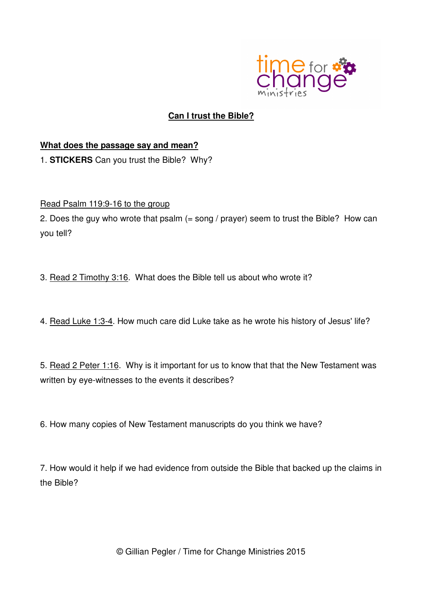

## **Can I trust the Bible?**

## **What does the passage say and mean?**

1. **STICKERS** Can you trust the Bible? Why?

### Read Psalm 119:9-16 to the group

2. Does the guy who wrote that psalm (= song / prayer) seem to trust the Bible? How can you tell?

3. Read 2 Timothy 3:16. What does the Bible tell us about who wrote it?

4. Read Luke 1:3-4. How much care did Luke take as he wrote his history of Jesus' life?

5. Read 2 Peter 1:16. Why is it important for us to know that that the New Testament was written by eye-witnesses to the events it describes?

6. How many copies of New Testament manuscripts do you think we have?

7. How would it help if we had evidence from outside the Bible that backed up the claims in the Bible?